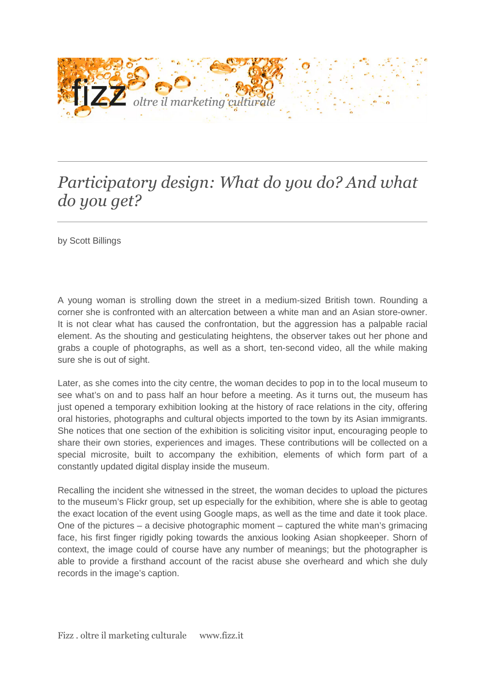

## *Participatory design: What do you do? And what do you get?*

by Scott Billings

A young woman is strolling down the street in a medium-sized British town. Rounding a corner she is confronted with an altercation between a white man and an Asian store-owner. It is not clear what has caused the confrontation, but the aggression has a palpable racial element. As the shouting and gesticulating heightens, the observer takes out her phone and grabs a couple of photographs, as well as a short, ten-second video, all the while making sure she is out of sight.

Later, as she comes into the city centre, the woman decides to pop in to the local museum to see what's on and to pass half an hour before a meeting. As it turns out, the museum has just opened a temporary exhibition looking at the history of race relations in the city, offering oral histories, photographs and cultural objects imported to the town by its Asian immigrants. She notices that one section of the exhibition is soliciting visitor input, encouraging people to share their own stories, experiences and images. These contributions will be collected on a special microsite, built to accompany the exhibition, elements of which form part of a constantly updated digital display inside the museum.

Recalling the incident she witnessed in the street, the woman decides to upload the pictures to the museum's Flickr group, set up especially for the exhibition, where she is able to geotag the exact location of the event using Google maps, as well as the time and date it took place. One of the pictures – a decisive photographic moment – captured the white man's grimacing face, his first finger rigidly poking towards the anxious looking Asian shopkeeper. Shorn of context, the image could of course have any number of meanings; but the photographer is able to provide a firsthand account of the racist abuse she overheard and which she duly records in the image's caption.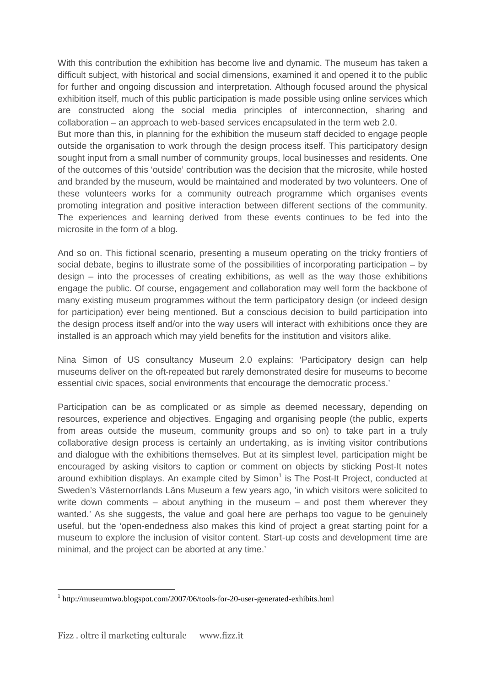With this contribution the exhibition has become live and dynamic. The museum has taken a difficult subject, with historical and social dimensions, examined it and opened it to the public for further and ongoing discussion and interpretation. Although focused around the physical exhibition itself, much of this public participation is made possible using online services which are constructed along the social media principles of interconnection, sharing and collaboration – an approach to web-based services encapsulated in the term web 2.0. But more than this, in planning for the exhibition the museum staff decided to engage people outside the organisation to work through the design process itself. This participatory design sought input from a small number of community groups, local businesses and residents. One of the outcomes of this 'outside' contribution was the decision that the microsite, while hosted and branded by the museum, would be maintained and moderated by two volunteers. One of these volunteers works for a community outreach programme which organises events promoting integration and positive interaction between different sections of the community. The experiences and learning derived from these events continues to be fed into the microsite in the form of a blog.

And so on. This fictional scenario, presenting a museum operating on the tricky frontiers of social debate, begins to illustrate some of the possibilities of incorporating participation – by design – into the processes of creating exhibitions, as well as the way those exhibitions engage the public. Of course, engagement and collaboration may well form the backbone of many existing museum programmes without the term participatory design (or indeed design for participation) ever being mentioned. But a conscious decision to build participation into the design process itself and/or into the way users will interact with exhibitions once they are installed is an approach which may yield benefits for the institution and visitors alike.

Nina Simon of US consultancy Museum 2.0 explains: 'Participatory design can help museums deliver on the oft-repeated but rarely demonstrated desire for museums to become essential civic spaces, social environments that encourage the democratic process.'

Participation can be as complicated or as simple as deemed necessary, depending on resources, experience and objectives. Engaging and organising people (the public, experts from areas outside the museum, community groups and so on) to take part in a truly collaborative design process is certainly an undertaking, as is inviting visitor contributions and dialogue with the exhibitions themselves. But at its simplest level, participation might be encouraged by asking visitors to caption or comment on objects by sticking Post-It notes around exhibition displays. An example cited by Simon<sup>1</sup> is The Post-It Project, conducted at Sweden's Västernorrlands Läns Museum a few years ago, 'in which visitors were solicited to write down comments – about anything in the museum – and post them wherever they wanted.' As she suggests, the value and goal here are perhaps too vague to be genuinely useful, but the 'open-endedness also makes this kind of project a great starting point for a museum to explore the inclusion of visitor content. Start-up costs and development time are minimal, and the project can be aborted at any time.'

 $\overline{a}$ <sup>1</sup> http://museumtwo.blogspot.com/2007/06/tools-for-20-user-generated-exhibits.html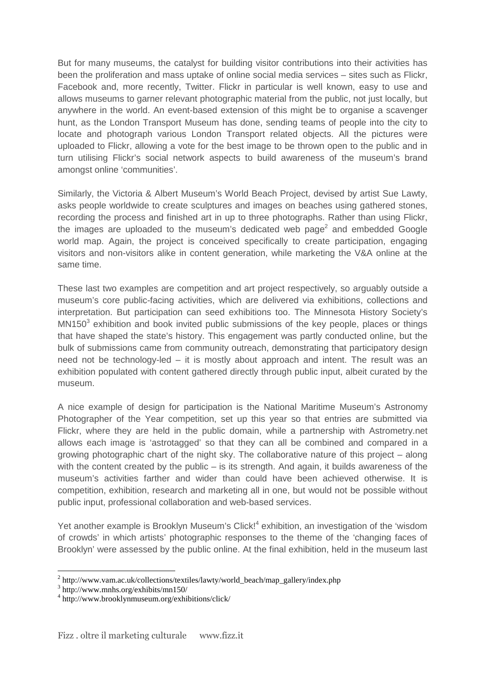But for many museums, the catalyst for building visitor contributions into their activities has been the proliferation and mass uptake of online social media services – sites such as Flickr, Facebook and, more recently, Twitter. Flickr in particular is well known, easy to use and allows museums to garner relevant photographic material from the public, not just locally, but anywhere in the world. An event-based extension of this might be to organise a scavenger hunt, as the London Transport Museum has done, sending teams of people into the city to locate and photograph various London Transport related objects. All the pictures were uploaded to Flickr, allowing a vote for the best image to be thrown open to the public and in turn utilising Flickr's social network aspects to build awareness of the museum's brand amongst online 'communities'.

Similarly, the Victoria & Albert Museum's World Beach Project, devised by artist Sue Lawty, asks people worldwide to create sculptures and images on beaches using gathered stones, recording the process and finished art in up to three photographs. Rather than using Flickr, the images are uploaded to the museum's dedicated web page<sup>2</sup> and embedded Google world map. Again, the project is conceived specifically to create participation, engaging visitors and non-visitors alike in content generation, while marketing the V&A online at the same time.

These last two examples are competition and art project respectively, so arguably outside a museum's core public-facing activities, which are delivered via exhibitions, collections and interpretation. But participation can seed exhibitions too. The Minnesota History Society's  $MN150<sup>3</sup>$  exhibition and book invited public submissions of the key people, places or things that have shaped the state's history. This engagement was partly conducted online, but the bulk of submissions came from community outreach, demonstrating that participatory design need not be technology-led – it is mostly about approach and intent. The result was an exhibition populated with content gathered directly through public input, albeit curated by the museum.

A nice example of design for participation is the National Maritime Museum's Astronomy Photographer of the Year competition, set up this year so that entries are submitted via Flickr, where they are held in the public domain, while a partnership with Astrometry.net allows each image is 'astrotagged' so that they can all be combined and compared in a growing photographic chart of the night sky. The collaborative nature of this project  $-$  along with the content created by the public  $-$  is its strength. And again, it builds awareness of the museum's activities farther and wider than could have been achieved otherwise. It is competition, exhibition, research and marketing all in one, but would not be possible without public input, professional collaboration and web-based services.

Yet another example is Brooklyn Museum's Click!<sup>4</sup> exhibition, an investigation of the 'wisdom of crowds' in which artists' photographic responses to the theme of the 'changing faces of Brooklyn' were assessed by the public online. At the final exhibition, held in the museum last

 $\overline{a}$ 

<sup>&</sup>lt;sup>2</sup> http://www.vam.ac.uk/collections/textiles/lawty/world\_beach/map\_gallery/index.php

<sup>3</sup> http://www.mnhs.org/exhibits/mn150/

<sup>4</sup> http://www.brooklynmuseum.org/exhibitions/click/